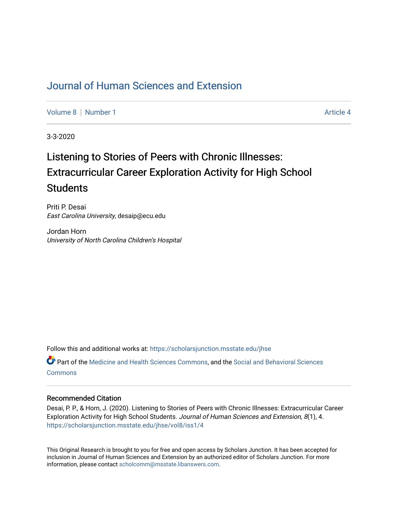# [Journal of Human Sciences and Extension](https://scholarsjunction.msstate.edu/jhse)

[Volume 8](https://scholarsjunction.msstate.edu/jhse/vol8) | [Number 1](https://scholarsjunction.msstate.edu/jhse/vol8/iss1) Article 4

3-3-2020

# Listening to Stories of Peers with Chronic Illnesses: Extracurricular Career Exploration Activity for High School **Students**

Priti P. Desai East Carolina University, desaip@ecu.edu

Jordan Horn University of North Carolina Children's Hospital

Follow this and additional works at: [https://scholarsjunction.msstate.edu/jhse](https://scholarsjunction.msstate.edu/jhse?utm_source=scholarsjunction.msstate.edu%2Fjhse%2Fvol8%2Fiss1%2F4&utm_medium=PDF&utm_campaign=PDFCoverPages)

Part of the [Medicine and Health Sciences Commons,](http://network.bepress.com/hgg/discipline/648?utm_source=scholarsjunction.msstate.edu%2Fjhse%2Fvol8%2Fiss1%2F4&utm_medium=PDF&utm_campaign=PDFCoverPages) and the [Social and Behavioral Sciences](http://network.bepress.com/hgg/discipline/316?utm_source=scholarsjunction.msstate.edu%2Fjhse%2Fvol8%2Fiss1%2F4&utm_medium=PDF&utm_campaign=PDFCoverPages) **[Commons](http://network.bepress.com/hgg/discipline/316?utm_source=scholarsjunction.msstate.edu%2Fjhse%2Fvol8%2Fiss1%2F4&utm_medium=PDF&utm_campaign=PDFCoverPages)** 

#### Recommended Citation

Desai, P. P., & Horn, J. (2020). Listening to Stories of Peers with Chronic Illnesses: Extracurricular Career Exploration Activity for High School Students. Journal of Human Sciences and Extension, 8(1), 4. [https://scholarsjunction.msstate.edu/jhse/vol8/iss1/4](https://scholarsjunction.msstate.edu/jhse/vol8/iss1/4?utm_source=scholarsjunction.msstate.edu%2Fjhse%2Fvol8%2Fiss1%2F4&utm_medium=PDF&utm_campaign=PDFCoverPages)

This Original Research is brought to you for free and open access by Scholars Junction. It has been accepted for inclusion in Journal of Human Sciences and Extension by an authorized editor of Scholars Junction. For more information, please contact [scholcomm@msstate.libanswers.com](mailto:scholcomm@msstate.libanswers.com).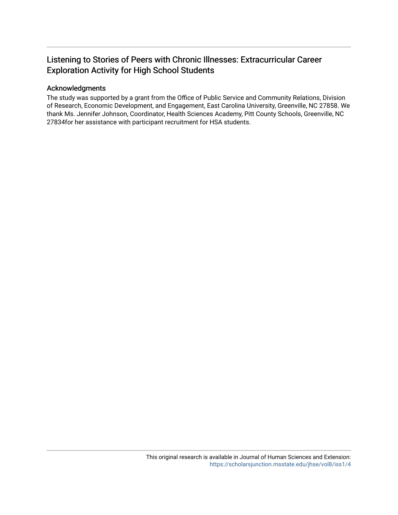# Listening to Stories of Peers with Chronic Illnesses: Extracurricular Career Exploration Activity for High School Students

#### Acknowledgments

The study was supported by a grant from the Office of Public Service and Community Relations, Division of Research, Economic Development, and Engagement, East Carolina University, Greenville, NC 27858. We thank Ms. Jennifer Johnson, Coordinator, Health Sciences Academy, Pitt County Schools, Greenville, NC 27834for her assistance with participant recruitment for HSA students.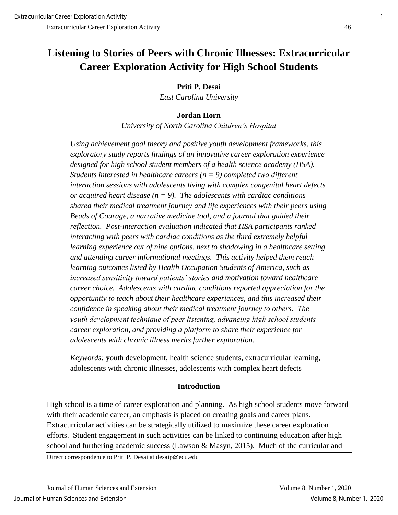# **Listening to Stories of Peers with Chronic Illnesses: Extracurricular Career Exploration Activity for High School Students**

**Priti P. Desai**

*East Carolina University*

# **Jordan Horn**

*University of North Carolina Children's Hospital*

*Using achievement goal theory and positive youth development frameworks, this exploratory study reports findings of an innovative career exploration experience designed for high school student members of a health science academy (HSA). Students interested in healthcare careers (n = 9) completed two different interaction sessions with adolescents living with complex congenital heart defects or acquired heart disease (n = 9). The adolescents with cardiac conditions shared their medical treatment journey and life experiences with their peers using Beads of Courage, a narrative medicine tool, and a journal that guided their reflection. Post-interaction evaluation indicated that HSA participants ranked interacting with peers with cardiac conditions as the third extremely helpful learning experience out of nine options, next to shadowing in a healthcare setting and attending career informational meetings. This activity helped them reach learning outcomes listed by Health Occupation Students of America, such as increased sensitivity toward patients' stories and motivation toward healthcare career choice. Adolescents with cardiac conditions reported appreciation for the opportunity to teach about their healthcare experiences, and this increased their confidence in speaking about their medical treatment journey to others. The youth development technique of peer listening, advancing high school students' career exploration, and providing a platform to share their experience for adolescents with chronic illness merits further exploration.* 

*Keywords:* **y**outh development, health science students, extracurricular learning, adolescents with chronic illnesses, adolescents with complex heart defects

#### **Introduction**

High school is a time of career exploration and planning. As high school students move forward with their academic career, an emphasis is placed on creating goals and career plans. Extracurricular activities can be strategically utilized to maximize these career exploration efforts. Student engagement in such activities can be linked to continuing education after high school and furthering academic success (Lawson & Masyn, 2015). Much of the curricular and

Direct correspondence to Priti P. Desai at desaip@ecu.edu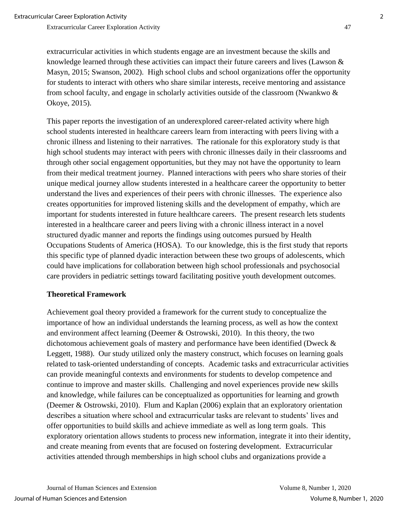extracurricular activities in which students engage are an investment because the skills and knowledge learned through these activities can impact their future careers and lives (Lawson & Masyn, 2015; Swanson, 2002). High school clubs and school organizations offer the opportunity for students to interact with others who share similar interests, receive mentoring and assistance from school faculty, and engage in scholarly activities outside of the classroom (Nwankwo & Okoye, 2015).

This paper reports the investigation of an underexplored career-related activity where high school students interested in healthcare careers learn from interacting with peers living with a chronic illness and listening to their narratives. The rationale for this exploratory study is that high school students may interact with peers with chronic illnesses daily in their classrooms and through other social engagement opportunities, but they may not have the opportunity to learn from their medical treatment journey. Planned interactions with peers who share stories of their unique medical journey allow students interested in a healthcare career the opportunity to better understand the lives and experiences of their peers with chronic illnesses. The experience also creates opportunities for improved listening skills and the development of empathy, which are important for students interested in future healthcare careers. The present research lets students interested in a healthcare career and peers living with a chronic illness interact in a novel structured dyadic manner and reports the findings using outcomes pursued by Health Occupations Students of America (HOSA). To our knowledge, this is the first study that reports this specific type of planned dyadic interaction between these two groups of adolescents, which could have implications for collaboration between high school professionals and psychosocial care providers in pediatric settings toward facilitating positive youth development outcomes.

# **Theoretical Framework**

Achievement goal theory provided a framework for the current study to conceptualize the importance of how an individual understands the learning process, as well as how the context and environment affect learning (Deemer & Ostrowski, 2010). In this theory, the two dichotomous achievement goals of mastery and performance have been identified (Dweck & Leggett, 1988). Our study utilized only the mastery construct, which focuses on learning goals related to task-oriented understanding of concepts. Academic tasks and extracurricular activities can provide meaningful contexts and environments for students to develop competence and continue to improve and master skills. Challenging and novel experiences provide new skills and knowledge, while failures can be conceptualized as opportunities for learning and growth (Deemer & Ostrowski, 2010). Flum and Kaplan (2006) explain that an exploratory orientation describes a situation where school and extracurricular tasks are relevant to students' lives and offer opportunities to build skills and achieve immediate as well as long term goals. This exploratory orientation allows students to process new information, integrate it into their identity, and create meaning from events that are focused on fostering development. Extracurricular activities attended through memberships in high school clubs and organizations provide a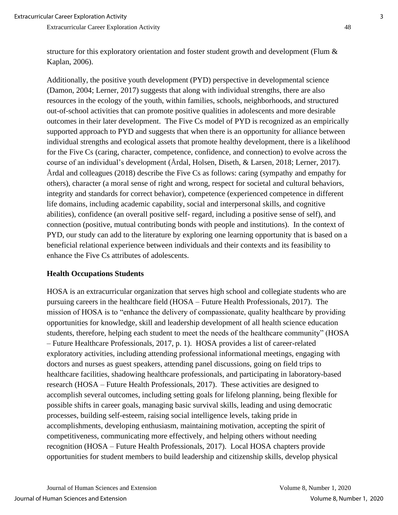Additionally, the positive youth development (PYD) perspective in developmental science (Damon, 2004; Lerner, 2017) suggests that along with individual strengths, there are also resources in the ecology of the youth, within families, schools, neighborhoods, and structured out-of-school activities that can promote positive qualities in adolescents and more desirable outcomes in their later development. The Five Cs model of PYD is recognized as an empirically supported approach to PYD and suggests that when there is an opportunity for alliance between individual strengths and ecological assets that promote healthy development, there is a likelihood for the Five Cs (caring, character, competence, confidence, and connection) to evolve across the course of an individual's development (Årdal, Holsen, Diseth, & Larsen, 2018; Lerner, 2017). Årdal and colleagues (2018) describe the Five Cs as follows: caring (sympathy and empathy for others), character (a moral sense of right and wrong, respect for societal and cultural behaviors, integrity and standards for correct behavior), competence (experienced competence in different life domains, including academic capability, social and interpersonal skills, and cognitive abilities), confidence (an overall positive self- regard, including a positive sense of self), and connection (positive, mutual contributing bonds with people and institutions). In the context of PYD, our study can add to the literature by exploring one learning opportunity that is based on a beneficial relational experience between individuals and their contexts and its feasibility to enhance the Five Cs attributes of adolescents.

#### **Health Occupations Students**

HOSA is an extracurricular organization that serves high school and collegiate students who are pursuing careers in the healthcare field (HOSA – Future Health Professionals, 2017). The mission of HOSA is to "enhance the delivery of compassionate, quality healthcare by providing opportunities for knowledge, skill and leadership development of all health science education students, therefore, helping each student to meet the needs of the healthcare community" (HOSA – Future Healthcare Professionals, 2017, p. 1). HOSA provides a list of career-related exploratory activities, including attending professional informational meetings, engaging with doctors and nurses as guest speakers, attending panel discussions, going on field trips to healthcare facilities, shadowing healthcare professionals, and participating in laboratory-based research (HOSA – Future Health Professionals, 2017). These activities are designed to accomplish several outcomes, including setting goals for lifelong planning, being flexible for possible shifts in career goals, managing basic survival skills, leading and using democratic processes, building self-esteem, raising social intelligence levels, taking pride in accomplishments, developing enthusiasm, maintaining motivation, accepting the spirit of competitiveness, communicating more effectively, and helping others without needing recognition (HOSA – Future Health Professionals, 2017). Local HOSA chapters provide opportunities for student members to build leadership and citizenship skills, develop physical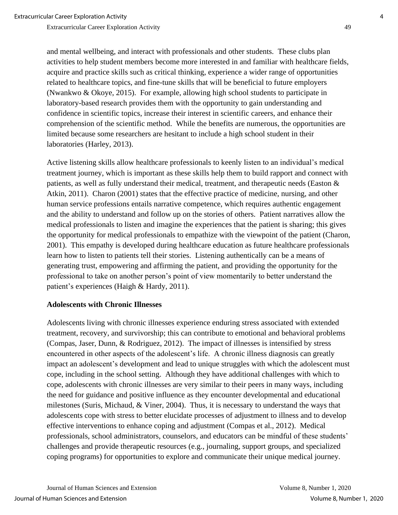and mental wellbeing, and interact with professionals and other students. These clubs plan activities to help student members become more interested in and familiar with healthcare fields, acquire and practice skills such as critical thinking, experience a wider range of opportunities related to healthcare topics, and fine-tune skills that will be beneficial to future employers (Nwankwo & Okoye, 2015). For example, allowing high school students to participate in laboratory-based research provides them with the opportunity to gain understanding and confidence in scientific topics, increase their interest in scientific careers, and enhance their comprehension of the scientific method. While the benefits are numerous, the opportunities are limited because some researchers are hesitant to include a high school student in their laboratories (Harley, 2013).

Active listening skills allow healthcare professionals to keenly listen to an individual's medical treatment journey, which is important as these skills help them to build rapport and connect with patients, as well as fully understand their medical, treatment, and therapeutic needs (Easton & Atkin, 2011). Charon (2001) states that the effective practice of medicine, nursing, and other human service professions entails narrative competence, which requires authentic engagement and the ability to understand and follow up on the stories of others. Patient narratives allow the medical professionals to listen and imagine the experiences that the patient is sharing; this gives the opportunity for medical professionals to empathize with the viewpoint of the patient (Charon, 2001). This empathy is developed during healthcare education as future healthcare professionals learn how to listen to patients tell their stories. Listening authentically can be a means of generating trust, empowering and affirming the patient, and providing the opportunity for the professional to take on another person's point of view momentarily to better understand the patient's experiences (Haigh & Hardy, 2011).

#### **Adolescents with Chronic Illnesses**

Adolescents living with chronic illnesses experience enduring stress associated with extended treatment, recovery, and survivorship; this can contribute to emotional and behavioral problems (Compas, Jaser, Dunn, & Rodriguez, 2012). The impact of illnesses is intensified by stress encountered in other aspects of the adolescent's life. A chronic illness diagnosis can greatly impact an adolescent's development and lead to unique struggles with which the adolescent must cope, including in the school setting. Although they have additional challenges with which to cope, adolescents with chronic illnesses are very similar to their peers in many ways, including the need for guidance and positive influence as they encounter developmental and educational milestones (Suris, Michaud, & Viner, 2004). Thus, it is necessary to understand the ways that adolescents cope with stress to better elucidate processes of adjustment to illness and to develop effective interventions to enhance coping and adjustment (Compas et al., 2012). Medical professionals, school administrators, counselors, and educators can be mindful of these students' challenges and provide therapeutic resources (e.g., journaling, support groups, and specialized coping programs) for opportunities to explore and communicate their unique medical journey.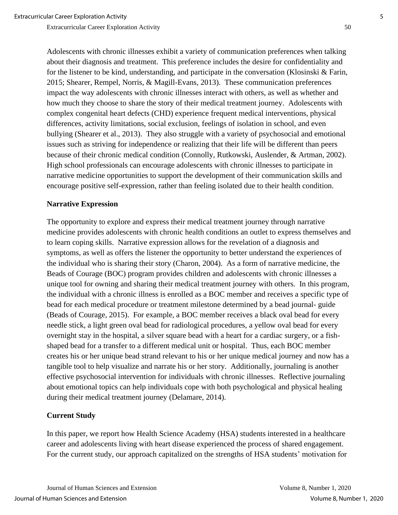Adolescents with chronic illnesses exhibit a variety of communication preferences when talking about their diagnosis and treatment. This preference includes the desire for confidentiality and for the listener to be kind, understanding, and participate in the conversation (Klosinski & Farin, 2015; Shearer, Rempel, Norris, & Magill-Evans, 2013). These communication preferences impact the way adolescents with chronic illnesses interact with others, as well as whether and how much they choose to share the story of their medical treatment journey. Adolescents with complex congenital heart defects (CHD) experience frequent medical interventions, physical differences, activity limitations, social exclusion, feelings of isolation in school, and even bullying (Shearer et al., 2013). They also struggle with a variety of psychosocial and emotional issues such as striving for independence or realizing that their life will be different than peers because of their chronic medical condition (Connolly, Rutkowski, Auslender, & Artman, 2002). High school professionals can encourage adolescents with chronic illnesses to participate in narrative medicine opportunities to support the development of their communication skills and encourage positive self-expression, rather than feeling isolated due to their health condition.

#### **Narrative Expression**

The opportunity to explore and express their medical treatment journey through narrative medicine provides adolescents with chronic health conditions an outlet to express themselves and to learn coping skills. Narrative expression allows for the revelation of a diagnosis and symptoms, as well as offers the listener the opportunity to better understand the experiences of the individual who is sharing their story (Charon, 2004). As a form of narrative medicine, the Beads of Courage (BOC) program provides children and adolescents with chronic illnesses a unique tool for owning and sharing their medical treatment journey with others. In this program, the individual with a chronic illness is enrolled as a BOC member and receives a specific type of bead for each medical procedure or treatment milestone determined by a bead journal- guide (Beads of Courage, 2015). For example, a BOC member receives a black oval bead for every needle stick, a light green oval bead for radiological procedures, a yellow oval bead for every overnight stay in the hospital, a silver square bead with a heart for a cardiac surgery, or a fishshaped bead for a transfer to a different medical unit or hospital. Thus, each BOC member creates his or her unique bead strand relevant to his or her unique medical journey and now has a tangible tool to help visualize and narrate his or her story. Additionally, journaling is another effective psychosocial intervention for individuals with chronic illnesses. Reflective journaling about emotional topics can help individuals cope with both psychological and physical healing during their medical treatment journey (Delamare, 2014).

#### **Current Study**

In this paper, we report how Health Science Academy (HSA) students interested in a healthcare career and adolescents living with heart disease experienced the process of shared engagement. For the current study, our approach capitalized on the strengths of HSA students' motivation for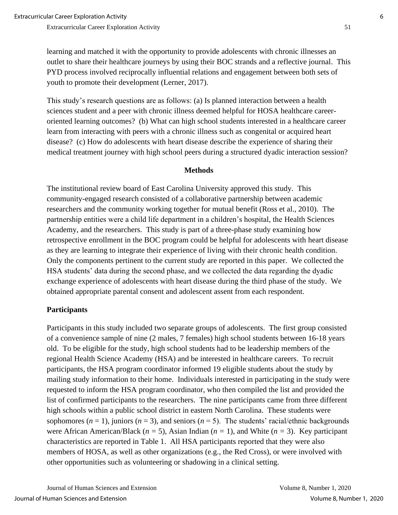learning and matched it with the opportunity to provide adolescents with chronic illnesses an outlet to share their healthcare journeys by using their BOC strands and a reflective journal. This PYD process involved reciprocally influential relations and engagement between both sets of youth to promote their development (Lerner, 2017).

This study's research questions are as follows: (a) Is planned interaction between a health sciences student and a peer with chronic illness deemed helpful for HOSA healthcare careeroriented learning outcomes? (b) What can high school students interested in a healthcare career learn from interacting with peers with a chronic illness such as congenital or acquired heart disease? (c) How do adolescents with heart disease describe the experience of sharing their medical treatment journey with high school peers during a structured dyadic interaction session?

#### **Methods**

The institutional review board of East Carolina University approved this study. This community-engaged research consisted of a collaborative partnership between academic researchers and the community working together for mutual benefit (Ross et al., 2010). The partnership entities were a child life department in a children's hospital, the Health Sciences Academy, and the researchers. This study is part of a three-phase study examining how retrospective enrollment in the BOC program could be helpful for adolescents with heart disease as they are learning to integrate their experience of living with their chronic health condition. Only the components pertinent to the current study are reported in this paper. We collected the HSA students' data during the second phase, and we collected the data regarding the dyadic exchange experience of adolescents with heart disease during the third phase of the study. We obtained appropriate parental consent and adolescent assent from each respondent.

#### **Participants**

Participants in this study included two separate groups of adolescents. The first group consisted of a convenience sample of nine (2 males, 7 females) high school students between 16-18 years old. To be eligible for the study, high school students had to be leadership members of the regional Health Science Academy (HSA) and be interested in healthcare careers. To recruit participants, the HSA program coordinator informed 19 eligible students about the study by mailing study information to their home. Individuals interested in participating in the study were requested to inform the HSA program coordinator, who then compiled the list and provided the list of confirmed participants to the researchers. The nine participants came from three different high schools within a public school district in eastern North Carolina. These students were sophomores  $(n = 1)$ , juniors  $(n = 3)$ , and seniors  $(n = 5)$ . The students' racial/ethnic backgrounds were African American/Black (*n =* 5), Asian Indian (*n =* 1), and White (*n =* 3). Key participant characteristics are reported in Table 1. All HSA participants reported that they were also members of HOSA, as well as other organizations (e.g., the Red Cross), or were involved with other opportunities such as volunteering or shadowing in a clinical setting.

Journal of Human Sciences and Extension Volume 8, Number 1, 2020 Journal of Human Sciences and Extension Volume 8, Number 1, 2020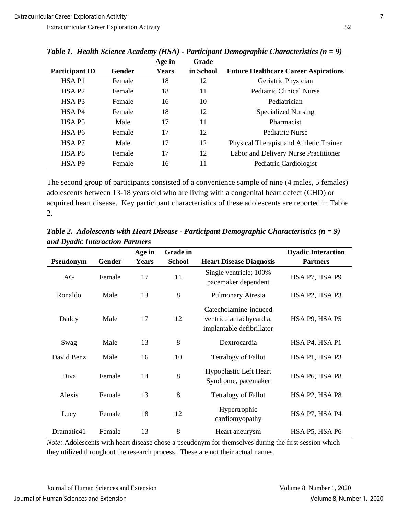|                       |               | Age in | Grade     |                                             |
|-----------------------|---------------|--------|-----------|---------------------------------------------|
| <b>Participant ID</b> | <b>Gender</b> | Years  | in School | <b>Future Healthcare Career Aspirations</b> |
| HSA <sub>P1</sub>     | Female        | 18     | 12        | Geriatric Physician                         |
| HSA P <sub>2</sub>    | Female        | 18     | 11        | <b>Pediatric Clinical Nurse</b>             |
| HSA <sub>P3</sub>     | Female        | 16     | 10        | Pediatrician                                |
| HSA P <sub>4</sub>    | Female        | 18     | 12        | <b>Specialized Nursing</b>                  |
| HSA <sub>P5</sub>     | Male          | 17     | 11        | Pharmacist                                  |
| HSA P6                | Female        | 17     | 12        | Pediatric Nurse                             |
| HSA <sub>P7</sub>     | Male          | 17     | 12        | Physical Therapist and Athletic Trainer     |
| HSA P8                | Female        | 17     | 12        | Labor and Delivery Nurse Practitioner       |
| HSA P <sub>9</sub>    | Female        | 16     | 11        | Pediatric Cardiologist                      |

*Table 1. Health Science Academy (HSA) - Participant Demographic Characteristics (n = 9)*

The second group of participants consisted of a convenience sample of nine (4 males, 5 females) adolescents between 13-18 years old who are living with a congenital heart defect (CHD) or acquired heart disease. Key participant characteristics of these adolescents are reported in Table 2.

*Table 2. Adolescents with Heart Disease - Participant Demographic Characteristics (n = 9) and Dyadic Interaction Partners* 

|            |        | Age in       | <b>Grade in</b> |                                                                                | <b>Dyadic Interaction</b> |
|------------|--------|--------------|-----------------|--------------------------------------------------------------------------------|---------------------------|
| Pseudonym  | Gender | <b>Years</b> | <b>School</b>   | <b>Heart Disease Diagnosis</b>                                                 | <b>Partners</b>           |
| AG         | Female | 17           | 11              | Single ventricle; 100%<br>pacemaker dependent                                  | HSA P7, HSA P9            |
| Ronaldo    | Male   | 13           | 8               | Pulmonary Atresia                                                              | HSA P2, HSA P3            |
| Daddy      | Male   | 17           | 12              | Catecholamine-induced<br>ventricular tachycardia,<br>implantable defibrillator | HSA P9, HSA P5            |
| Swag       | Male   | 13           | 8               | Dextrocardia                                                                   | HSA P4, HSA P1            |
| David Benz | Male   | 16           | 10              | <b>Tetralogy of Fallot</b>                                                     | HSA P1, HSA P3            |
| Diva       | Female | 14           | 8               | <b>Hypoplastic Left Heart</b><br>Syndrome, pacemaker                           | HSA P6, HSA P8            |
| Alexis     | Female | 13           | 8               | <b>Tetralogy of Fallot</b>                                                     | HSA P2, HSA P8            |
| Lucy       | Female | 18           | 12              | Hypertrophic<br>cardiomyopathy                                                 | HSA P7, HSA P4            |
| Dramatic41 | Female | 13           | 8               | Heart aneurysm                                                                 | HSA P5, HSA P6            |

*Note:* Adolescents with heart disease chose a pseudonym for themselves during the first session which they utilized throughout the research process. These are not their actual names.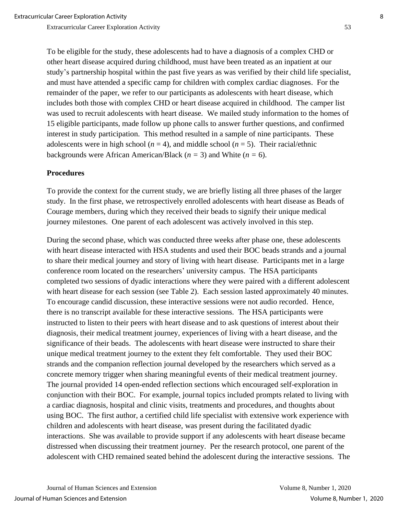To be eligible for the study, these adolescents had to have a diagnosis of a complex CHD or other heart disease acquired during childhood, must have been treated as an inpatient at our study's partnership hospital within the past five years as was verified by their child life specialist, and must have attended a specific camp for children with complex cardiac diagnoses. For the remainder of the paper, we refer to our participants as adolescents with heart disease, which includes both those with complex CHD or heart disease acquired in childhood. The camper list was used to recruit adolescents with heart disease. We mailed study information to the homes of 15 eligible participants, made follow up phone calls to answer further questions, and confirmed interest in study participation. This method resulted in a sample of nine participants. These adolescents were in high school ( $n = 4$ ), and middle school ( $n = 5$ ). Their racial/ethnic backgrounds were African American/Black ( $n = 3$ ) and White ( $n = 6$ ).

# **Procedures**

To provide the context for the current study, we are briefly listing all three phases of the larger study. In the first phase, we retrospectively enrolled adolescents with heart disease as Beads of Courage members, during which they received their beads to signify their unique medical journey milestones. One parent of each adolescent was actively involved in this step.

During the second phase, which was conducted three weeks after phase one, these adolescents with heart disease interacted with HSA students and used their BOC beads strands and a journal to share their medical journey and story of living with heart disease. Participants met in a large conference room located on the researchers' university campus. The HSA participants completed two sessions of dyadic interactions where they were paired with a different adolescent with heart disease for each session (see Table 2). Each session lasted approximately 40 minutes. To encourage candid discussion, these interactive sessions were not audio recorded. Hence, there is no transcript available for these interactive sessions. The HSA participants were instructed to listen to their peers with heart disease and to ask questions of interest about their diagnosis, their medical treatment journey, experiences of living with a heart disease, and the significance of their beads. The adolescents with heart disease were instructed to share their unique medical treatment journey to the extent they felt comfortable. They used their BOC strands and the companion reflection journal developed by the researchers which served as a concrete memory trigger when sharing meaningful events of their medical treatment journey. The journal provided 14 open-ended reflection sections which encouraged self-exploration in conjunction with their BOC. For example, journal topics included prompts related to living with a cardiac diagnosis, hospital and clinic visits, treatments and procedures, and thoughts about using BOC. The first author, a certified child life specialist with extensive work experience with children and adolescents with heart disease, was present during the facilitated dyadic interactions. She was available to provide support if any adolescents with heart disease became distressed when discussing their treatment journey. Per the research protocol, one parent of the adolescent with CHD remained seated behind the adolescent during the interactive sessions. The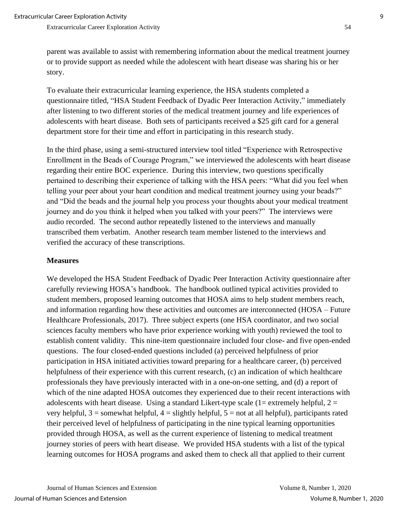story.

Extracurricular Career Exploration Activity 54

To evaluate their extracurricular learning experience, the HSA students completed a questionnaire titled, "HSA Student Feedback of Dyadic Peer Interaction Activity," immediately after listening to two different stories of the medical treatment journey and life experiences of adolescents with heart disease. Both sets of participants received a \$25 gift card for a general department store for their time and effort in participating in this research study.

In the third phase, using a semi-structured interview tool titled "Experience with Retrospective Enrollment in the Beads of Courage Program," we interviewed the adolescents with heart disease regarding their entire BOC experience. During this interview, two questions specifically pertained to describing their experience of talking with the HSA peers: "What did you feel when telling your peer about your heart condition and medical treatment journey using your beads?" and "Did the beads and the journal help you process your thoughts about your medical treatment journey and do you think it helped when you talked with your peers?" The interviews were audio recorded. The second author repeatedly listened to the interviews and manually transcribed them verbatim. Another research team member listened to the interviews and verified the accuracy of these transcriptions.

# **Measures**

We developed the HSA Student Feedback of Dyadic Peer Interaction Activity questionnaire after carefully reviewing HOSA's handbook. The handbook outlined typical activities provided to student members, proposed learning outcomes that HOSA aims to help student members reach, and information regarding how these activities and outcomes are interconnected (HOSA – Future Healthcare Professionals, 2017). Three subject experts (one HSA coordinator, and two social sciences faculty members who have prior experience working with youth) reviewed the tool to establish content validity. This nine-item questionnaire included four close- and five open-ended questions. The four closed-ended questions included (a) perceived helpfulness of prior participation in HSA initiated activities toward preparing for a healthcare career, (b) perceived helpfulness of their experience with this current research, (c) an indication of which healthcare professionals they have previously interacted with in a one-on-one setting, and (d) a report of which of the nine adapted HOSA outcomes they experienced due to their recent interactions with adolescents with heart disease. Using a standard Likert-type scale  $(1 =$  extremely helpful,  $2 =$ very helpful,  $3 =$  somewhat helpful,  $4 =$  slightly helpful,  $5 =$  not at all helpful), participants rated their perceived level of helpfulness of participating in the nine typical learning opportunities provided through HOSA, as well as the current experience of listening to medical treatment journey stories of peers with heart disease. We provided HSA students with a list of the typical learning outcomes for HOSA programs and asked them to check all that applied to their current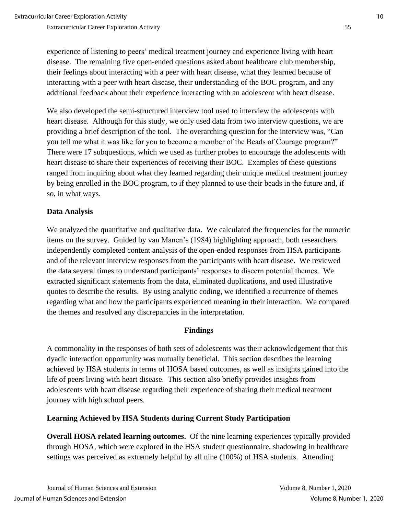experience of listening to peers' medical treatment journey and experience living with heart disease. The remaining five open-ended questions asked about healthcare club membership, their feelings about interacting with a peer with heart disease, what they learned because of interacting with a peer with heart disease, their understanding of the BOC program, and any additional feedback about their experience interacting with an adolescent with heart disease.

We also developed the semi-structured interview tool used to interview the adolescents with heart disease. Although for this study, we only used data from two interview questions, we are providing a brief description of the tool. The overarching question for the interview was, "Can you tell me what it was like for you to become a member of the Beads of Courage program?" There were 17 subquestions, which we used as further probes to encourage the adolescents with heart disease to share their experiences of receiving their BOC. Examples of these questions ranged from inquiring about what they learned regarding their unique medical treatment journey by being enrolled in the BOC program, to if they planned to use their beads in the future and, if so, in what ways.

# **Data Analysis**

We analyzed the quantitative and qualitative data. We calculated the frequencies for the numeric items on the survey. Guided by van Manen's (1984) highlighting approach, both researchers independently completed content analysis of the open-ended responses from HSA participants and of the relevant interview responses from the participants with heart disease. We reviewed the data several times to understand participants' responses to discern potential themes. We extracted significant statements from the data, eliminated duplications, and used illustrative quotes to describe the results. By using analytic coding, we identified a recurrence of themes regarding what and how the participants experienced meaning in their interaction. We compared the themes and resolved any discrepancies in the interpretation.

#### **Findings**

A commonality in the responses of both sets of adolescents was their acknowledgement that this dyadic interaction opportunity was mutually beneficial. This section describes the learning achieved by HSA students in terms of HOSA based outcomes, as well as insights gained into the life of peers living with heart disease. This section also briefly provides insights from adolescents with heart disease regarding their experience of sharing their medical treatment journey with high school peers.

#### **Learning Achieved by HSA Students during Current Study Participation**

**Overall HOSA related learning outcomes.** Of the nine learning experiences typically provided through HOSA, which were explored in the HSA student questionnaire, shadowing in healthcare settings was perceived as extremely helpful by all nine (100%) of HSA students. Attending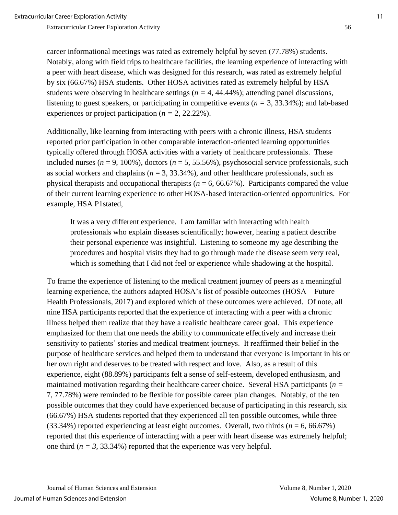career informational meetings was rated as extremely helpful by seven (77.78%) students. Notably, along with field trips to healthcare facilities, the learning experience of interacting with a peer with heart disease, which was designed for this research, was rated as extremely helpful by six (66.67%) HSA students. Other HOSA activities rated as extremely helpful by HSA students were observing in healthcare settings ( $n = 4, 44.44\%$ ); attending panel discussions, listening to guest speakers, or participating in competitive events (*n =* 3, 33.34%); and lab-based experiences or project participation (*n =* 2, 22.22%).

Additionally, like learning from interacting with peers with a chronic illness, HSA students reported prior participation in other comparable interaction-oriented learning opportunities typically offered through HOSA activities with a variety of healthcare professionals. These included nurses ( $n = 9$ , 100%), doctors ( $n = 5, 55.56\%$ ), psychosocial service professionals, such as social workers and chaplains ( $n = 3, 33.34\%$ ), and other healthcare professionals, such as physical therapists and occupational therapists  $(n = 6, 66.67\%)$ . Participants compared the value of their current learning experience to other HOSA-based interaction-oriented opportunities. For example, HSA P1stated,

It was a very different experience. I am familiar with interacting with health professionals who explain diseases scientifically; however, hearing a patient describe their personal experience was insightful. Listening to someone my age describing the procedures and hospital visits they had to go through made the disease seem very real, which is something that I did not feel or experience while shadowing at the hospital.

To frame the experience of listening to the medical treatment journey of peers as a meaningful learning experience, the authors adapted HOSA's list of possible outcomes (HOSA – Future Health Professionals, 2017) and explored which of these outcomes were achieved. Of note, all nine HSA participants reported that the experience of interacting with a peer with a chronic illness helped them realize that they have a realistic healthcare career goal. This experience emphasized for them that one needs the ability to communicate effectively and increase their sensitivity to patients' stories and medical treatment journeys. It reaffirmed their belief in the purpose of healthcare services and helped them to understand that everyone is important in his or her own right and deserves to be treated with respect and love. Also, as a result of this experience, eight (88.89%) participants felt a sense of self-esteem, developed enthusiasm, and maintained motivation regarding their healthcare career choice. Several HSA participants (*n =* 7, 77.78%) were reminded to be flexible for possible career plan changes. Notably, of the ten possible outcomes that they could have experienced because of participating in this research, six (66.67%) HSA students reported that they experienced all ten possible outcomes, while three (33.34%) reported experiencing at least eight outcomes. Overall, two thirds (*n* = 6, 66.67%) reported that this experience of interacting with a peer with heart disease was extremely helpful; one third  $(n = 3, 33.34\%)$  reported that the experience was very helpful.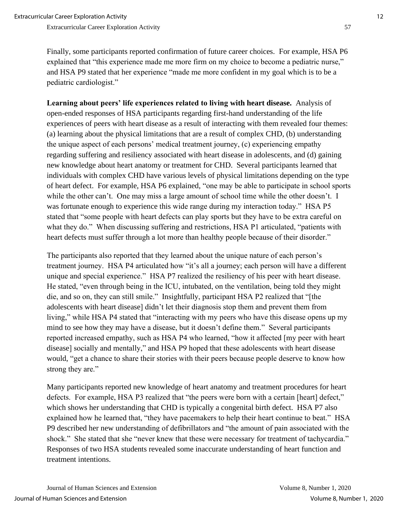Finally, some participants reported confirmation of future career choices. For example, HSA P6 explained that "this experience made me more firm on my choice to become a pediatric nurse," and HSA P9 stated that her experience "made me more confident in my goal which is to be a pediatric cardiologist."

**Learning about peers' life experiences related to living with heart disease.** Analysis of open-ended responses of HSA participants regarding first-hand understanding of the life experiences of peers with heart disease as a result of interacting with them revealed four themes: (a) learning about the physical limitations that are a result of complex CHD, (b) understanding the unique aspect of each persons' medical treatment journey, (c) experiencing empathy regarding suffering and resiliency associated with heart disease in adolescents, and (d) gaining new knowledge about heart anatomy or treatment for CHD. Several participants learned that individuals with complex CHD have various levels of physical limitations depending on the type of heart defect. For example, HSA P6 explained, "one may be able to participate in school sports while the other can't. One may miss a large amount of school time while the other doesn't. I was fortunate enough to experience this wide range during my interaction today." HSA P5 stated that "some people with heart defects can play sports but they have to be extra careful on what they do." When discussing suffering and restrictions, HSA P1 articulated, "patients with heart defects must suffer through a lot more than healthy people because of their disorder."

The participants also reported that they learned about the unique nature of each person's treatment journey. HSA P4 articulated how "it's all a journey; each person will have a different unique and special experience." HSA P7 realized the resiliency of his peer with heart disease. He stated, "even through being in the ICU, intubated, on the ventilation, being told they might die, and so on, they can still smile." Insightfully, participant HSA P2 realized that "[the adolescents with heart disease] didn't let their diagnosis stop them and prevent them from living," while HSA P4 stated that "interacting with my peers who have this disease opens up my mind to see how they may have a disease, but it doesn't define them." Several participants reported increased empathy, such as HSA P4 who learned, "how it affected [my peer with heart disease] socially and mentally," and HSA P9 hoped that these adolescents with heart disease would, "get a chance to share their stories with their peers because people deserve to know how strong they are."

Many participants reported new knowledge of heart anatomy and treatment procedures for heart defects. For example, HSA P3 realized that "the peers were born with a certain [heart] defect," which shows her understanding that CHD is typically a congenital birth defect. HSA P7 also explained how he learned that, "they have pacemakers to help their heart continue to beat." HSA P9 described her new understanding of defibrillators and "the amount of pain associated with the shock." She stated that she "never knew that these were necessary for treatment of tachycardia." Responses of two HSA students revealed some inaccurate understanding of heart function and treatment intentions.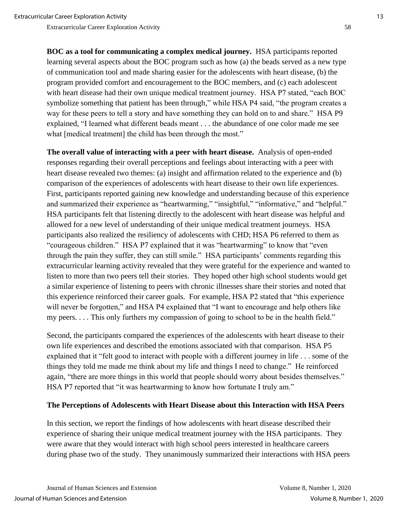**BOC as a tool for communicating a complex medical journey.** HSA participants reported learning several aspects about the BOC program such as how (a) the beads served as a new type of communication tool and made sharing easier for the adolescents with heart disease, (b) the program provided comfort and encouragement to the BOC members, and (c) each adolescent with heart disease had their own unique medical treatment journey. HSA P7 stated, "each BOC symbolize something that patient has been through," while HSA P4 said, "the program creates a way for these peers to tell a story and have something they can hold on to and share." HSA P9 explained, "I learned what different beads meant . . . the abundance of one color made me see what [medical treatment] the child has been through the most."

**The overall value of interacting with a peer with heart disease.** Analysis of open-ended responses regarding their overall perceptions and feelings about interacting with a peer with heart disease revealed two themes: (a) insight and affirmation related to the experience and (b) comparison of the experiences of adolescents with heart disease to their own life experiences. First, participants reported gaining new knowledge and understanding because of this experience and summarized their experience as "heartwarming," "insightful," "informative," and "helpful." HSA participants felt that listening directly to the adolescent with heart disease was helpful and allowed for a new level of understanding of their unique medical treatment journeys. HSA participants also realized the resiliency of adolescents with CHD; HSA P6 referred to them as "courageous children." HSA P7 explained that it was "heartwarming" to know that "even through the pain they suffer, they can still smile." HSA participants' comments regarding this extracurricular learning activity revealed that they were grateful for the experience and wanted to listen to more than two peers tell their stories. They hoped other high school students would get a similar experience of listening to peers with chronic illnesses share their stories and noted that this experience reinforced their career goals. For example, HSA P2 stated that "this experience will never be forgotten," and HSA P4 explained that "I want to encourage and help others like my peers. . . . This only furthers my compassion of going to school to be in the health field."

Second, the participants compared the experiences of the adolescents with heart disease to their own life experiences and described the emotions associated with that comparison. HSA P5 explained that it "felt good to interact with people with a different journey in life . . . some of the things they told me made me think about my life and things I need to change." He reinforced again, "there are more things in this world that people should worry about besides themselves." HSA P7 reported that "it was heartwarming to know how fortunate I truly am."

# **The Perceptions of Adolescents with Heart Disease about this Interaction with HSA Peers**

In this section, we report the findings of how adolescents with heart disease described their experience of sharing their unique medical treatment journey with the HSA participants. They were aware that they would interact with high school peers interested in healthcare careers during phase two of the study. They unanimously summarized their interactions with HSA peers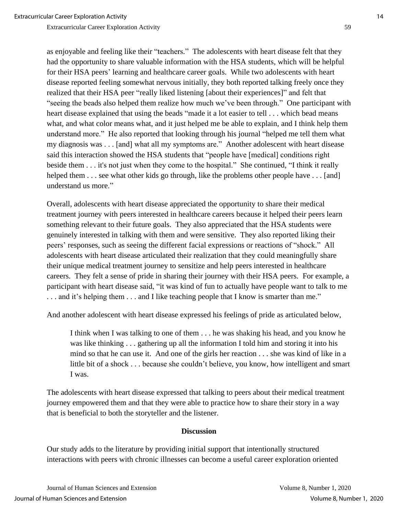as enjoyable and feeling like their "teachers." The adolescents with heart disease felt that they had the opportunity to share valuable information with the HSA students, which will be helpful for their HSA peers' learning and healthcare career goals. While two adolescents with heart disease reported feeling somewhat nervous initially, they both reported talking freely once they realized that their HSA peer "really liked listening [about their experiences]" and felt that "seeing the beads also helped them realize how much we've been through." One participant with heart disease explained that using the beads "made it a lot easier to tell . . . which bead means what, and what color means what, and it just helped me be able to explain, and I think help them understand more." He also reported that looking through his journal "helped me tell them what my diagnosis was . . . [and] what all my symptoms are." Another adolescent with heart disease said this interaction showed the HSA students that "people have [medical] conditions right beside them . . . it's not just when they come to the hospital." She continued, "I think it really helped them . . . see what other kids go through, like the problems other people have . . . [and] understand us more."

Overall, adolescents with heart disease appreciated the opportunity to share their medical treatment journey with peers interested in healthcare careers because it helped their peers learn something relevant to their future goals. They also appreciated that the HSA students were genuinely interested in talking with them and were sensitive. They also reported liking their peers' responses, such as seeing the different facial expressions or reactions of "shock." All adolescents with heart disease articulated their realization that they could meaningfully share their unique medical treatment journey to sensitize and help peers interested in healthcare careers. They felt a sense of pride in sharing their journey with their HSA peers. For example, a participant with heart disease said, "it was kind of fun to actually have people want to talk to me . . . and it's helping them . . . and I like teaching people that I know is smarter than me."

And another adolescent with heart disease expressed his feelings of pride as articulated below,

I think when I was talking to one of them . . . he was shaking his head, and you know he was like thinking . . . gathering up all the information I told him and storing it into his mind so that he can use it. And one of the girls her reaction . . . she was kind of like in a little bit of a shock . . . because she couldn't believe, you know, how intelligent and smart I was.

The adolescents with heart disease expressed that talking to peers about their medical treatment journey empowered them and that they were able to practice how to share their story in a way that is beneficial to both the storyteller and the listener.

#### **Discussion**

Our study adds to the literature by providing initial support that intentionally structured interactions with peers with chronic illnesses can become a useful career exploration oriented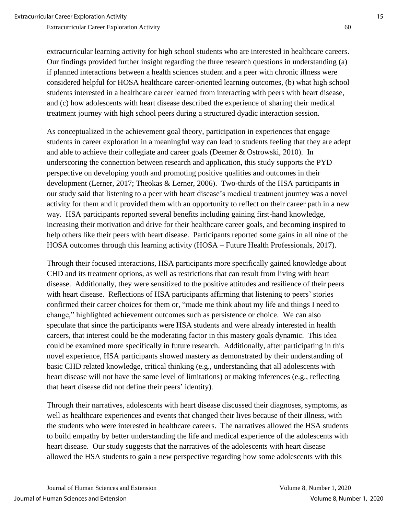extracurricular learning activity for high school students who are interested in healthcare careers. Our findings provided further insight regarding the three research questions in understanding (a) if planned interactions between a health sciences student and a peer with chronic illness were considered helpful for HOSA healthcare career-oriented learning outcomes, (b) what high school students interested in a healthcare career learned from interacting with peers with heart disease, and (c) how adolescents with heart disease described the experience of sharing their medical treatment journey with high school peers during a structured dyadic interaction session.

As conceptualized in the achievement goal theory, participation in experiences that engage students in career exploration in a meaningful way can lead to students feeling that they are adept and able to achieve their collegiate and career goals (Deemer & Ostrowski, 2010). In underscoring the connection between research and application, this study supports the PYD perspective on developing youth and promoting positive qualities and outcomes in their development (Lerner, 2017; Theokas & Lerner, 2006). Two-thirds of the HSA participants in our study said that listening to a peer with heart disease's medical treatment journey was a novel activity for them and it provided them with an opportunity to reflect on their career path in a new way. HSA participants reported several benefits including gaining first-hand knowledge, increasing their motivation and drive for their healthcare career goals, and becoming inspired to help others like their peers with heart disease. Participants reported some gains in all nine of the HOSA outcomes through this learning activity (HOSA – Future Health Professionals, 2017).

Through their focused interactions, HSA participants more specifically gained knowledge about CHD and its treatment options, as well as restrictions that can result from living with heart disease. Additionally, they were sensitized to the positive attitudes and resilience of their peers with heart disease. Reflections of HSA participants affirming that listening to peers' stories confirmed their career choices for them or, "made me think about my life and things I need to change," highlighted achievement outcomes such as persistence or choice. We can also speculate that since the participants were HSA students and were already interested in health careers, that interest could be the moderating factor in this mastery goals dynamic. This idea could be examined more specifically in future research. Additionally, after participating in this novel experience, HSA participants showed mastery as demonstrated by their understanding of basic CHD related knowledge, critical thinking (e.g., understanding that all adolescents with heart disease will not have the same level of limitations) or making inferences (e.g., reflecting that heart disease did not define their peers' identity).

Through their narratives, adolescents with heart disease discussed their diagnoses, symptoms, as well as healthcare experiences and events that changed their lives because of their illness, with the students who were interested in healthcare careers. The narratives allowed the HSA students to build empathy by better understanding the life and medical experience of the adolescents with heart disease. Our study suggests that the narratives of the adolescents with heart disease allowed the HSA students to gain a new perspective regarding how some adolescents with this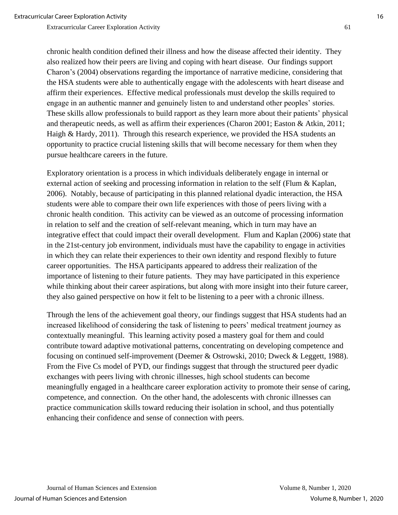chronic health condition defined their illness and how the disease affected their identity. They also realized how their peers are living and coping with heart disease. Our findings support Charon's (2004) observations regarding the importance of narrative medicine, considering that the HSA students were able to authentically engage with the adolescents with heart disease and affirm their experiences. Effective medical professionals must develop the skills required to engage in an authentic manner and genuinely listen to and understand other peoples' stories. These skills allow professionals to build rapport as they learn more about their patients' physical and therapeutic needs, as well as affirm their experiences (Charon 2001; Easton & Atkin, 2011; Haigh & Hardy, 2011). Through this research experience, we provided the HSA students an opportunity to practice crucial listening skills that will become necessary for them when they pursue healthcare careers in the future.

Exploratory orientation is a process in which individuals deliberately engage in internal or external action of seeking and processing information in relation to the self (Flum & Kaplan, 2006). Notably, because of participating in this planned relational dyadic interaction, the HSA students were able to compare their own life experiences with those of peers living with a chronic health condition. This activity can be viewed as an outcome of processing information in relation to self and the creation of self-relevant meaning, which in turn may have an integrative effect that could impact their overall development. Flum and Kaplan (2006) state that in the 21st-century job environment, individuals must have the capability to engage in activities in which they can relate their experiences to their own identity and respond flexibly to future career opportunities. The HSA participants appeared to address their realization of the importance of listening to their future patients. They may have participated in this experience while thinking about their career aspirations, but along with more insight into their future career, they also gained perspective on how it felt to be listening to a peer with a chronic illness.

Through the lens of the achievement goal theory, our findings suggest that HSA students had an increased likelihood of considering the task of listening to peers' medical treatment journey as contextually meaningful. This learning activity posed a mastery goal for them and could contribute toward adaptive motivational patterns, concentrating on developing competence and focusing on continued self-improvement (Deemer & Ostrowski, 2010; Dweck & Leggett, 1988). From the Five Cs model of PYD, our findings suggest that through the structured peer dyadic exchanges with peers living with chronic illnesses, high school students can become meaningfully engaged in a healthcare career exploration activity to promote their sense of caring, competence, and connection. On the other hand, the adolescents with chronic illnesses can practice communication skills toward reducing their isolation in school, and thus potentially enhancing their confidence and sense of connection with peers.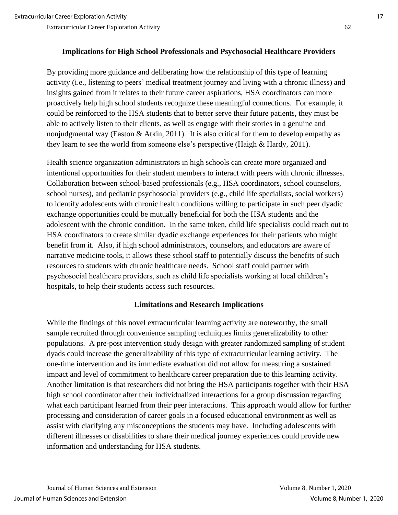By providing more guidance and deliberating how the relationship of this type of learning activity (i.e., listening to peers' medical treatment journey and living with a chronic illness) and insights gained from it relates to their future career aspirations, HSA coordinators can more proactively help high school students recognize these meaningful connections. For example, it could be reinforced to the HSA students that to better serve their future patients, they must be able to actively listen to their clients, as well as engage with their stories in a genuine and nonjudgmental way (Easton & Atkin, 2011). It is also critical for them to develop empathy as they learn to see the world from someone else's perspective (Haigh & Hardy, 2011).

Health science organization administrators in high schools can create more organized and intentional opportunities for their student members to interact with peers with chronic illnesses. Collaboration between school-based professionals (e.g., HSA coordinators, school counselors, school nurses), and pediatric psychosocial providers (e.g., child life specialists, social workers) to identify adolescents with chronic health conditions willing to participate in such peer dyadic exchange opportunities could be mutually beneficial for both the HSA students and the adolescent with the chronic condition. In the same token, child life specialists could reach out to HSA coordinators to create similar dyadic exchange experiences for their patients who might benefit from it. Also, if high school administrators, counselors, and educators are aware of narrative medicine tools, it allows these school staff to potentially discuss the benefits of such resources to students with chronic healthcare needs. School staff could partner with psychosocial healthcare providers, such as child life specialists working at local children's hospitals, to help their students access such resources.

# **Limitations and Research Implications**

While the findings of this novel extracurricular learning activity are noteworthy, the small sample recruited through convenience sampling techniques limits generalizability to other populations. A pre-post intervention study design with greater randomized sampling of student dyads could increase the generalizability of this type of extracurricular learning activity. The one-time intervention and its immediate evaluation did not allow for measuring a sustained impact and level of commitment to healthcare career preparation due to this learning activity. Another limitation is that researchers did not bring the HSA participants together with their HSA high school coordinator after their individualized interactions for a group discussion regarding what each participant learned from their peer interactions. This approach would allow for further processing and consideration of career goals in a focused educational environment as well as assist with clarifying any misconceptions the students may have. Including adolescents with different illnesses or disabilities to share their medical journey experiences could provide new information and understanding for HSA students.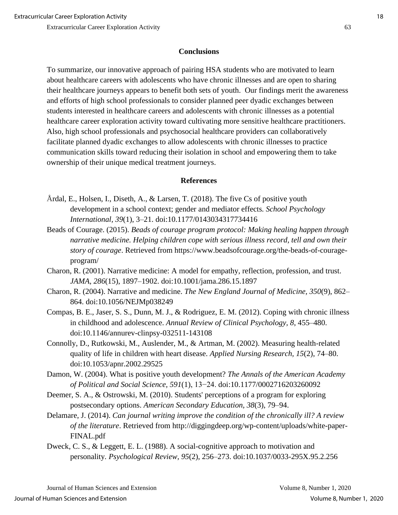# **Conclusions**

To summarize, our innovative approach of pairing HSA students who are motivated to learn about healthcare careers with adolescents who have chronic illnesses and are open to sharing their healthcare journeys appears to benefit both sets of youth. Our findings merit the awareness and efforts of high school professionals to consider planned peer dyadic exchanges between students interested in healthcare careers and adolescents with chronic illnesses as a potential healthcare career exploration activity toward cultivating more sensitive healthcare practitioners. Also, high school professionals and psychosocial healthcare providers can collaboratively facilitate planned dyadic exchanges to allow adolescents with chronic illnesses to practice communication skills toward reducing their isolation in school and empowering them to take ownership of their unique medical treatment journeys.

# **References**

- Årdal, E., Holsen, I., Diseth, A., & Larsen, T. (2018). The five Cs of positive youth development in a school context; gender and mediator effects*. School Psychology International, 39*(1), 3–21. doi:10.1177/0143034317734416
- Beads of Courage. (2015). *Beads of courage program protocol: Making healing happen through narrative medicine. Helping children cope with serious illness record, tell and own their story of courage*. Retrieved from https://www.beadsofcourage.org/the-beads-of-courageprogram/
- Charon, R. (2001). Narrative medicine: A model for empathy, reflection, profession, and trust. *JAMA, 286*(15), 1897–1902. doi:10.1001/jama.286.15.1897
- Charon, R. (2004). Narrative and medicine. *The New England Journal of Medicine, 350*(9), 862– 864. doi:10.1056/NEJMp038249
- Compas, B. E., Jaser, S. S., Dunn, M. J., & Rodriguez, E. M. (2012). Coping with chronic illness in childhood and adolescence. *Annual Review of Clinical Psychology, 8*, 455–480. doi:10.1146/annurev-clinpsy-032511-143108
- Connolly, D., Rutkowski, M., Auslender, M., & Artman, M. (2002). Measuring health-related quality of life in children with heart disease. *Applied Nursing Research, 15*(2), 74–80. doi:10.1053/apnr.2002.29525
- Damon, W. (2004). What is positive youth development? *The Annals of the American Academy of Political and Social Science, 591*(1), 13−24. doi:10.1177/0002716203260092
- Deemer, S. A., & Ostrowski, M. (2010). Students' perceptions of a program for exploring postsecondary options. *American Secondary Education, 38*(3), 79–94.
- Delamare, J. (2014). *Can journal writing improve the condition of the chronically ill? A review of the literature*. Retrieved from http://diggingdeep.org/wp-content/uploads/white-paper-FINAL.pdf
- Dweck, C. S., & Leggett, E. L. (1988). A social-cognitive approach to motivation and personality*. Psychological Review, 95*(2), 256–273. doi:10.1037/0033-295X.95.2.256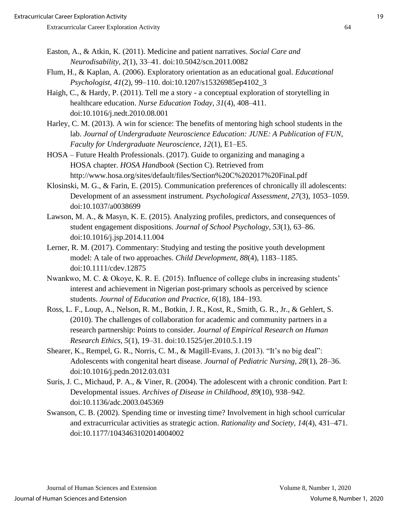- Easton, A., & Atkin, K. (2011). Medicine and patient narratives. *Social Care and Neurodisability, 2*(1), 33–41. doi:10.5042/scn.2011.0082
- Flum, H., & Kaplan, A. (2006). Exploratory orientation as an educational goal. *Educational Psychologist, 41*(2), 99–110. doi:10.1207/s15326985ep4102\_3
- Haigh, C., & Hardy, P. (2011). Tell me a story a conceptual exploration of storytelling in healthcare education. *Nurse Education Today, 31*(4), 408–411. doi:10.1016/j.nedt.2010.08.001
- Harley, C. M. (2013). A win for science: The benefits of mentoring high school students in the lab. *Journal of Undergraduate Neuroscience Education: JUNE: A Publication of FUN, Faculty for Undergraduate Neuroscience, 12*(1), E1–E5.
- HOSA Future Health Professionals. (2017). Guide to organizing and managing a HOSA chapter. *HOSA Handbook* (Section C). Retrieved from http://www.hosa.org/sites/default/files/Section%20C%202017%20Final.pdf
- Klosinski, M. G., & Farin, E. (2015). Communication preferences of chronically ill adolescents: Development of an assessment instrument. *Psychological Assessment, 27*(3), 1053–1059. doi:10.1037/a0038699
- Lawson, M. A., & Masyn, K. E. (2015). Analyzing profiles, predictors, and consequences of student engagement dispositions. *Journal of School Psychology, 53*(1), 63–86. doi:10.1016/j.jsp.2014.11.004
- Lerner, R. M. (2017). Commentary: Studying and testing the positive youth development model: A tale of two approaches. *Child Development, 88*(4), 1183–1185. doi:10.1111/cdev.12875
- Nwankwo, M. C. & Okoye, K. R. E. (2015). Influence of college clubs in increasing students' interest and achievement in Nigerian post-primary schools as perceived by science students. *Journal of Education and Practice, 6*(18), 184–193.
- Ross, L. F., Loup, A., Nelson, R. M., Botkin, J. R., Kost, R., Smith, G. R., Jr., & Gehlert, S. (2010). The challenges of collaboration for academic and community partners in a research partnership: Points to consider. *Journal of Empirical Research on Human Research Ethics, 5*(1), 19–31. doi:10.1525/jer.2010.5.1.19
- Shearer, K., Rempel, G. R., Norris, C. M., & Magill-Evans, J. (2013). "It's no big deal": Adolescents with congenital heart disease. *Journal of Pediatric Nursing, 28*(1), 28–36. doi:10.1016/j.pedn.2012.03.031
- Suris, J. C., Michaud, P. A., & Viner, R. (2004). The adolescent with a chronic condition. Part I: Developmental issues. *Archives of Disease in Childhood, 89*(10)*,* 938–942. doi:10.1136/adc.2003.045369
- Swanson, C. B. (2002). Spending time or investing time? Involvement in high school curricular and extracurricular activities as strategic action. *Rationality and Society, 14*(4), 431–471. doi:10.1177/1043463102014004002